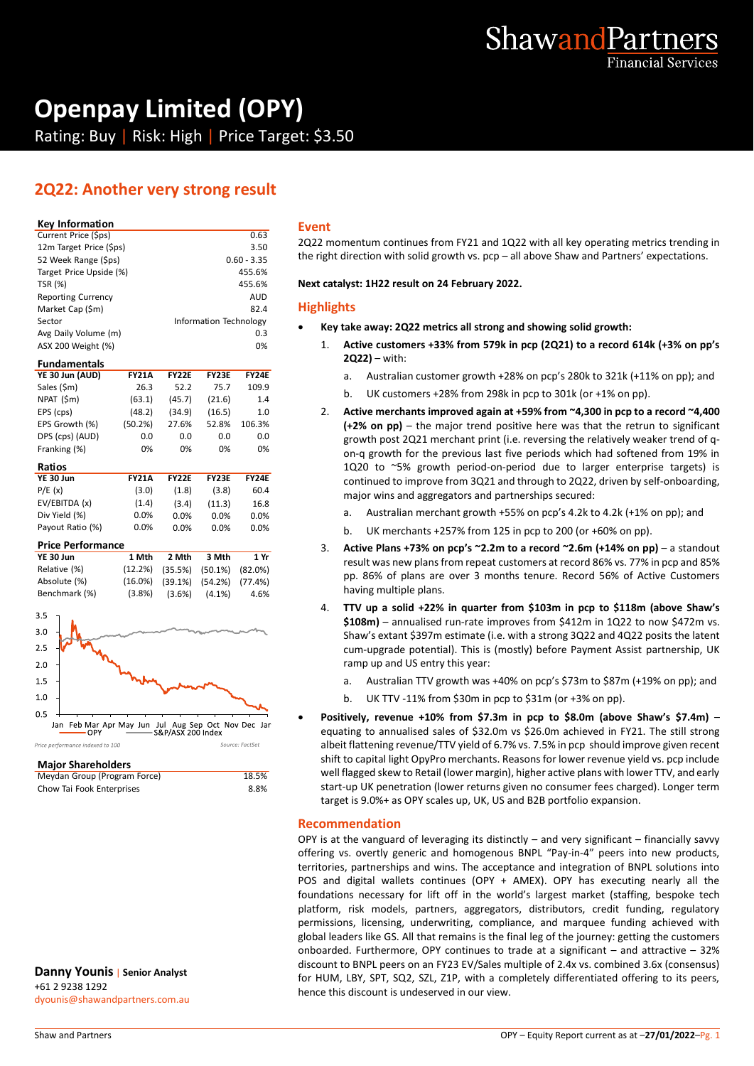

# **Openpay Limited (OPY)**

Rating: Buy | Risk: High | Price Target: \$3.50

# **2Q22: Another very strong result**

#### **Key Information**

| Current Price (\$ps)      | 0.63                   |                |
|---------------------------|------------------------|----------------|
| 12m Target Price (\$ps)   | 3.50                   | $\overline{2}$ |
| 52 Week Range (\$ps)      | $0.60 - 3.35$          | tl             |
| Target Price Upside (%)   | 455.6%                 |                |
| <b>TSR (%)</b>            | 455.6%                 | N              |
| <b>Reporting Currency</b> | <b>AUD</b>             |                |
| Market Cap (\$m)          | 82.4                   | ŀ              |
| Sector                    | Information Technology |                |
| Avg Daily Volume (m)      | 0.3                    |                |
| ASX 200 Weight (%)        | 0%                     |                |

#### **Fundamentals**

| YE 30 Jun (AUD) | <b>FY21A</b> | <b>FY22E</b> | <b>FY23E</b> | <b>FY24E</b> |
|-----------------|--------------|--------------|--------------|--------------|
| Sales (\$m)     | 26.3         | 52.2         | 75.7         | 109.9        |
| NPAT (\$m)      | (63.1)       | (45.7)       | (21.6)       | 1.4          |
| EPS (cps)       | (48.2)       | (34.9)       | (16.5)       | 1.0          |
| EPS Growth (%)  | (50.2%)      | 27.6%        | 52.8%        | 106.3%       |
| DPS (cps) (AUD) | 0.0          | 0.0          | 0.0          | 0.0          |
| Franking (%)    | 0%           | 0%           | 0%           | 0%           |
| Ratios          |              |              |              |              |

| ,,,,,,,          |              |              |              |              |
|------------------|--------------|--------------|--------------|--------------|
| YE 30 Jun        | <b>FY21A</b> | <b>FY22E</b> | <b>FY23E</b> | <b>FY24E</b> |
| P/E(x)           | (3.0)        | (1.8)        | (3.8)        | 60.4         |
| EV/EBITDA (x)    | (1.4)        | (3.4)        | (11.3)       | 16.8         |
| Div Yield (%)    | $0.0\%$      | $0.0\%$      | $0.0\%$      | 0.0%         |
| Payout Ratio (%) | $0.0\%$      | $0.0\%$      | $0.0\%$      | $0.0\%$      |
|                  |              |              |              |              |

#### **Price Performance**

| YE 30 Jun     | 1 Mth | 2 Mth                                       | 3 Mth     | 1 Yr |
|---------------|-------|---------------------------------------------|-----------|------|
| Relative (%)  |       | $(12.2\%)$ $(35.5\%)$ $(50.1\%)$ $(82.0\%)$ |           |      |
| Absolute (%)  |       | $(16.0\%)$ $(39.1\%)$ $(54.2\%)$ $(77.4\%)$ |           |      |
| Benchmark (%) |       | $(3.8\%)$ $(3.6\%)$                         | $(4.1\%)$ | 4.6% |



#### **Major Shareholders**

| Meydan Group (Program Force) | 18.5% |
|------------------------------|-------|
| Chow Tai Fook Enterprises    | 8.8%  |

**Danny Younis** | **Senior Analyst** +61 2 9238 1292 dyounis@shawandpartners.com.au

#### **Event**

2Q22 momentum continues from FY21 and 1Q22 with all key operating metrics trending in the right direction with solid growth vs. pcp – all above Shaw and Partners' expectations.

**Next catalyst: 1H22 result on 24 February 2022.**

#### **Highlights**

- **Key take away: 2Q22 metrics all strong and showing solid growth:**
	- 1. **Active customers +33% from 579k in pcp (2Q21) to a record 614k (+3% on pp's 2Q22)** – with:
		- a. Australian customer growth +28% on pcp's 280k to 321k (+11% on pp); and
		- b. UK customers +28% from 298k in pcp to 301k (or +1% on pp).
	- 2. **Active merchants improved again at +59% from ~4,300 in pcp to a record ~4,400 (+2% on pp)** – the major trend positive here was that the retrun to significant growth post 2Q21 merchant print (i.e. reversing the relatively weaker trend of qon-q growth for the previous last five periods which had softened from 19% in 1Q20 to ~5% growth period-on-period due to larger enterprise targets) is continued to improve from 3Q21 and through to 2Q22, driven by self-onboarding, major wins and aggregators and partnerships secured:
		- a. Australian merchant growth +55% on pcp's 4.2k to 4.2k (+1% on pp); and
		- b. UK merchants +257% from 125 in pcp to 200 (or +60% on pp).
	- 3. **Active Plans +73% on pcp's ~2.2m to a record ~2.6m (+14% on pp)**  a standout result was new plans from repeat customers at record 86% vs. 77% in pcp and 85% pp. 86% of plans are over 3 months tenure. Record 56% of Active Customers having multiple plans.
	- 4. **TTV up a solid +22% in quarter from \$103m in pcp to \$118m (above Shaw's \$108m)** – annualised run-rate improves from \$412m in 1Q22 to now \$472m vs. Shaw's extant \$397m estimate (i.e. with a strong 3Q22 and 4Q22 posits the latent cum-upgrade potential). This is (mostly) before Payment Assist partnership, UK ramp up and US entry this year:
		- a. Australian TTV growth was +40% on pcp's \$73m to \$87m (+19% on pp); and
		- b. UK TTV -11% from \$30m in pcp to \$31m (or +3% on pp).
- **Positively, revenue +10% from \$7.3m in pcp to \$8.0m (above Shaw's \$7.4m)**  equating to annualised sales of \$32.0m vs \$26.0m achieved in FY21. The still strong albeit flattening revenue/TTV yield of 6.7% vs. 7.5% in pcp should improve given recent shift to capital light OpyPro merchants. Reasons for lower revenue yield vs. pcp include well flagged skew to Retail (lower margin), higher active plans with lower TTV, and early start-up UK penetration (lower returns given no consumer fees charged). Longer term target is 9.0%+ as OPY scales up, UK, US and B2B portfolio expansion.

#### **Recommendation**

OPY is at the vanguard of leveraging its distinctly – and very significant – financially savvy offering vs. overtly generic and homogenous BNPL "Pay-in-4" peers into new products, territories, partnerships and wins. The acceptance and integration of BNPL solutions into POS and digital wallets continues (OPY + AMEX). OPY has executing nearly all the foundations necessary for lift off in the world's largest market (staffing, bespoke tech platform, risk models, partners, aggregators, distributors, credit funding, regulatory permissions, licensing, underwriting, compliance, and marquee funding achieved with global leaders like GS. All that remains is the final leg of the journey: getting the customers onboarded. Furthermore, OPY continues to trade at a significant  $-$  and attractive  $-32\%$ discount to BNPL peers on an FY23 EV/Sales multiple of 2.4x vs. combined 3.6x (consensus) for HUM, LBY, SPT, SQ2, SZL, Z1P, with a completely differentiated offering to its peers, hence this discount is undeserved in our view.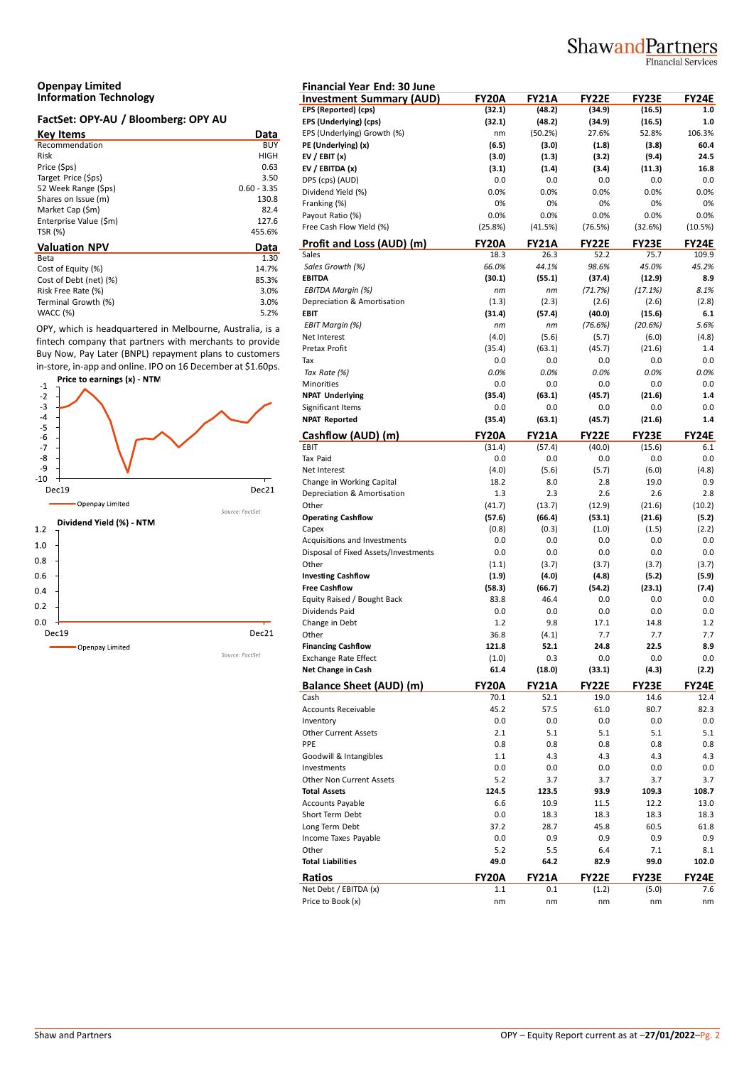# ShawandPartners

**Financial Services** 

#### **Openpay Limited Information Technology**

### **FactSet: OPY-AU / Bloomberg: OPY AU**

| <b>Key Items</b>       | Data          | EP. |
|------------------------|---------------|-----|
| Recommendation         | <b>BUY</b>    | PE  |
| Risk                   | HIGH          | EV  |
| Price (\$ps)           | 0.63          | EV  |
| Target Price (\$ps)    | 3.50          | DP  |
| 52 Week Range (\$ps)   | $0.60 - 3.35$ | Di  |
| Shares on Issue (m)    | 130.8         | Fra |
| Market Cap (\$m)       | 82.4          | Pa  |
| Enterprise Value (\$m) | 127.6         |     |
| TSR (%)                | 455.6%        | Fre |
| <b>Valuation NPV</b>   | Data          | Pr  |
| Beta                   | 1.30          | Sal |
| Cost of Equity (%)     | 14.7%         | Sc  |
| Cost of Debt (net) (%) | 85.3%         | EВ  |
| Risk Free Rate (%)     | 3.0%          | ΕE  |
| Terminal Growth (%)    | 3.0%          | De  |
| WACC (%)               | 5.2%          | EВ  |

OPY, which is headquartered in Melbourne, Australia, is a fintech company that partners with merchants to provide Buy Now, Pay Later (BNPL) repayment plans to customers in-store, in-app and online. IPO on 16 December at \$1.60ps.



| <b>Financial Year End: 30 June</b>                       |                |                |                |                |              |
|----------------------------------------------------------|----------------|----------------|----------------|----------------|--------------|
| <b>Investment Summary (AUD)</b>                          | <b>FY20A</b>   | <b>FY21A</b>   | <b>FY22E</b>   | <b>FY23E</b>   | FY24E        |
| EPS (Reported) (cps)                                     | (32.1)         | (48.2)         | (34.9)         | (16.5)         | 1.0          |
| EPS (Underlying) (cps)                                   | (32.1)         | (48.2)         | (34.9)         | (16.5)         | 1.0          |
| EPS (Underlying) Growth (%)                              | nm             | (50.2%)        | 27.6%          | 52.8%<br>(3.8) | 106.3%       |
| PE (Underlying) (x)<br>EV / EBIT $(x)$                   | (6.5)          | (3.0)<br>(1.3) | (1.8)<br>(3.2) | (9.4)          | 60.4<br>24.5 |
| EV / EBITDA (x)                                          | (3.0)<br>(3.1) | (1.4)          | (3.4)          | (11.3)         | 16.8         |
| DPS (cps) (AUD)                                          | 0.0            | 0.0            | 0.0            | 0.0            | 0.0          |
| Dividend Yield (%)                                       | 0.0%           | 0.0%           | 0.0%           | 0.0%           | 0.0%         |
| Franking (%)                                             | 0%             | 0%             | 0%             | 0%             | 0%           |
| Payout Ratio (%)                                         | 0.0%           | 0.0%           | 0.0%           | 0.0%           | 0.0%         |
| Free Cash Flow Yield (%)                                 | (25.8%)        | (41.5%)        | (76.5%)        | (32.6%)        | (10.5%)      |
| Profit and Loss (AUD) (m)                                | FY20A          | <b>FY21A</b>   | <b>FY22E</b>   | <b>FY23E</b>   | FY24E        |
| Sales                                                    | 18.3           | 26.3           | 52.2           | 75.7           | 109.9        |
| Sales Growth (%)                                         | 66.0%          | 44.1%          | 98.6%          | 45.0%          | 45.2%        |
| <b>EBITDA</b>                                            | (30.1)         | (55.1)         | (37.4)         | (12.9)         | 8.9          |
| EBITDA Margin (%)                                        | nm             | nm             | (71.7%)        | (17.1%)        | 8.1%         |
| Depreciation & Amortisation                              | (1.3)          | (2.3)          | (2.6)          | (2.6)          | (2.8)        |
| <b>EBIT</b>                                              | (31.4)         | (57.4)         | (40.0)         | (15.6)         | 6.1          |
| <b>EBIT Margin (%)</b>                                   | nm             | nm             | (76.6%)        | (20.6%)        | 5.6%         |
| Net Interest                                             | (4.0)          | (5.6)          | (5.7)          | (6.0)          | (4.8)        |
| Pretax Profit                                            | (35.4)         | (63.1)         | (45.7)         | (21.6)         | 1.4          |
| Tax                                                      | 0.0            | 0.0            | 0.0            | 0.0            | 0.0          |
| Tax Rate (%)                                             | 0.0%           | 0.0%           | 0.0%           | 0.0%           | 0.0%         |
| Minorities                                               | 0.0            | 0.0            | 0.0            | 0.0            | 0.0          |
| <b>NPAT Underlying</b>                                   | (35.4)         | (63.1)         | (45.7)         | (21.6)         | 1.4          |
| Significant Items                                        | 0.0            | 0.0            | 0.0            | 0.0            | 0.0          |
| <b>NPAT Reported</b>                                     | (35.4)         | (63.1)         | (45.7)         | (21.6)         | 1.4          |
| Cashflow (AUD) (m)                                       | <b>FY20A</b>   | <b>FY21A</b>   | <b>FY22E</b>   | FY23E          | FY24E        |
| EBIT                                                     | (31.4)         | (57.4)         | (40.0)         | (15.6)         | 6.1          |
| Tax Paid                                                 | 0.0            | 0.0            | 0.0            | 0.0            | 0.0          |
| Net Interest                                             | (4.0)          | (5.6)          | (5.7)          | (6.0)          | (4.8)        |
| Change in Working Capital                                | 18.2           | 8.0            | 2.8            | 19.0           | 0.9          |
| Depreciation & Amortisation                              | 1.3            | 2.3            | 2.6            | 2.6            | 2.8          |
| Other                                                    | (41.7)         | (13.7)         | (12.9)         | (21.6)         | (10.2)       |
| <b>Operating Cashflow</b>                                | (57.6)         | (66.4)         | (53.1)         | (21.6)         | (5.2)        |
| Capex                                                    | (0.8)          | (0.3)          | (1.0)          | (1.5)          | (2.2)        |
| Acquisitions and Investments                             | 0.0            | 0.0            | 0.0            | 0.0            | 0.0          |
| Disposal of Fixed Assets/Investments                     | 0.0            | 0.0            | 0.0            | 0.0            | 0.0          |
| Other                                                    | (1.1)          | (3.7)          | (3.7)          | (3.7)          | (3.7)        |
| <b>Investing Cashflow</b>                                | (1.9)          | (4.0)          | (4.8)          | (5.2)          | (5.9)        |
| <b>Free Cashflow</b>                                     | (58.3)         | (66.7)         | (54.2)         | (23.1)         | (7.4)        |
| Equity Raised / Bought Back                              | 83.8           | 46.4           | 0.0            | 0.0            | 0.0          |
| Dividends Paid                                           | 0.0            | 0.0            | 0.0            | 0.0            | 0.0          |
| Change in Debt<br>Other                                  | 1.2<br>36.8    | 9.8            | 17.1<br>7.7    | 14.8<br>7.7    | 1.2<br>7.7   |
|                                                          |                | (4.1)          |                |                |              |
| <b>Financing Cashflow</b><br><b>Exchange Rate Effect</b> | 121.8<br>(1.0) | 52.1<br>0.3    | 24.8<br>0.0    | 22.5<br>0.0    | 8.9<br>0.0   |
| Net Change in Cash                                       | 61.4           | (18.0)         | (33.1)         | (4.3)          | (2.2)        |
| <b>Balance Sheet (AUD) (m)</b>                           | <b>FY20A</b>   | <b>FY21A</b>   | <b>FY22E</b>   | <b>FY23E</b>   | FY24E        |
| Cash                                                     | 70.1           | 52.1           | 19.0           | 14.6           | 12.4         |
| Accounts Receivable                                      | 45.2           | 57.5           | 61.0           | 80.7           | 82.3         |
| Inventory                                                | 0.0            | 0.0            | 0.0            | 0.0            | 0.0          |
| <b>Other Current Assets</b>                              | 2.1            | 5.1            | 5.1            | 5.1            | 5.1          |
| PPE                                                      | 0.8            | 0.8            | 0.8            | 0.8            | 0.8          |
| Goodwill & Intangibles                                   | 1.1            | 4.3            | 4.3            | 4.3            | 4.3          |
| Investments                                              | 0.0            | 0.0            | $0.0\,$        | 0.0            | $0.0\,$      |
| Other Non Current Assets                                 | 5.2            | 3.7            | 3.7            | 3.7            | 3.7          |
| <b>Total Assets</b>                                      | 124.5          | 123.5          | 93.9           | 109.3          | 108.7        |
| Accounts Payable                                         | 6.6            | 10.9           | 11.5           | 12.2           | 13.0         |
| Short Term Debt                                          | 0.0            | 18.3           | 18.3           | 18.3           | 18.3         |
| Long Term Debt                                           | 37.2           | 28.7           | 45.8           | 60.5           | 61.8         |
| Income Taxes Payable                                     | 0.0            | 0.9            | 0.9            | 0.9            | 0.9          |
| Other                                                    | 5.2            | 5.5            | 6.4            | 7.1            | 8.1          |
| <b>Total Liabilities</b>                                 | 49.0           | 64.2           | 82.9           | 99.0           | 102.0        |
| Ratios                                                   | <b>FY20A</b>   | <b>FY21A</b>   | <b>FY22E</b>   | FY23E          | FY24E        |
| Net Debt / EBITDA (x)                                    | 1.1            | 0.1            | (1.2)          | (5.0)          | 7.6          |
| Price to Book (x)                                        | nm             | nm             | nm             | nm             | nm           |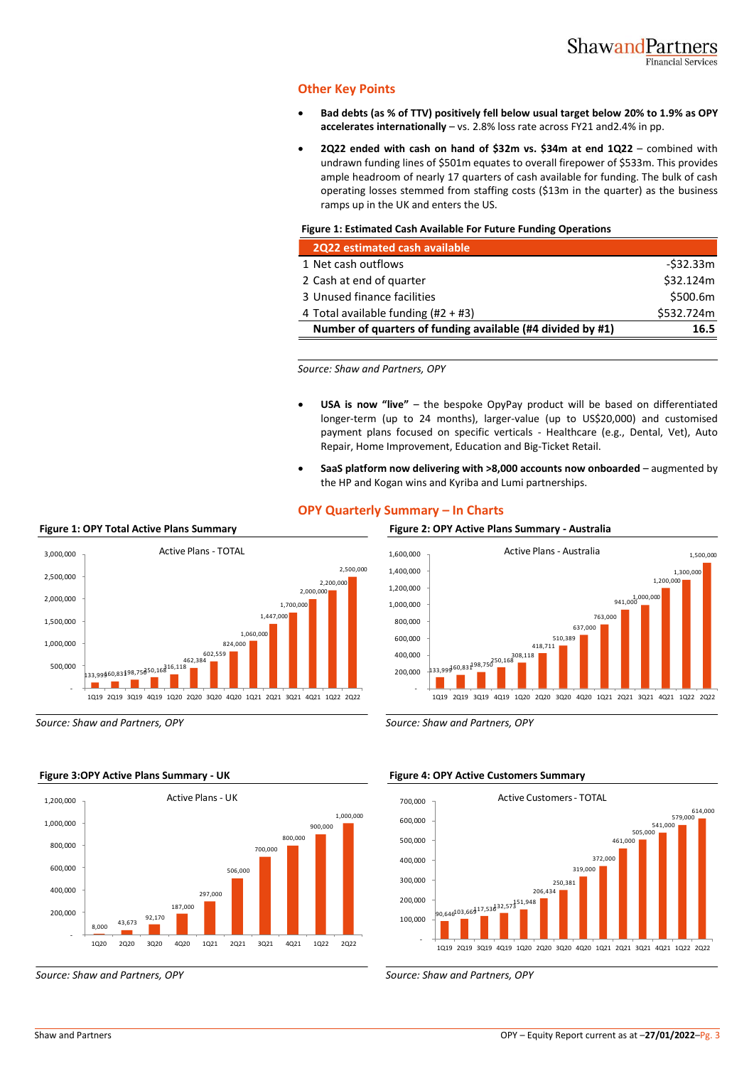### **Other Key Points**

- **Bad debts (as % of TTV) positively fell below usual target below 20% to 1.9% as OPY accelerates internationally** – vs. 2.8% loss rate across FY21 and2.4% in pp.
- **2Q22 ended with cash on hand of \$32m vs. \$34m at end 1Q22** combined with undrawn funding lines of \$501m equates to overall firepower of \$533m. This provides ample headroom of nearly 17 quarters of cash available for funding. The bulk of cash operating losses stemmed from staffing costs (\$13m in the quarter) as the business ramps up in the UK and enters the US.

#### **Figure 1: Estimated Cash Available For Future Funding Operations**

| 2Q22 estimated cash available                              |            |
|------------------------------------------------------------|------------|
| 1 Net cash outflows                                        | -\$32.33m  |
| 2 Cash at end of quarter                                   | \$32.124m  |
| 3 Unused finance facilities                                | \$500.6m   |
| 4 Total available funding $(#2 + #3)$                      | \$532.724m |
| Number of quarters of funding available (#4 divided by #1) | 16.5       |

*Source: Shaw and Partners, OPY*

- **USA is now "live"**  the bespoke OpyPay product will be based on differentiated longer-term (up to 24 months), larger-value (up to US\$20,000) and customised payment plans focused on specific verticals - Healthcare (e.g., Dental, Vet), Auto Repair, Home Improvement, Education and Big-Ticket Retail.
- **SaaS platform now delivering with >8,000 accounts now onboarded**  augmented by the HP and Kogan wins and Kyriba and Lumi partnerships.

### **OPY Quarterly Summary – In Charts**





*Source: Shaw and Partners, OPY Source: Shaw and Partners, OPY*

![](_page_2_Figure_15.jpeg)

#### **Figure 3:OPY Active Plans Summary - UK Figure 4: OPY Active Customers Summary**

![](_page_2_Figure_18.jpeg)

*Source: Shaw and Partners, OPY Source: Shaw and Partners, OPY*

### **Figure 1: OPY Total Active Plans Summary Figure 2: OPY Active Plans Summary - Australia**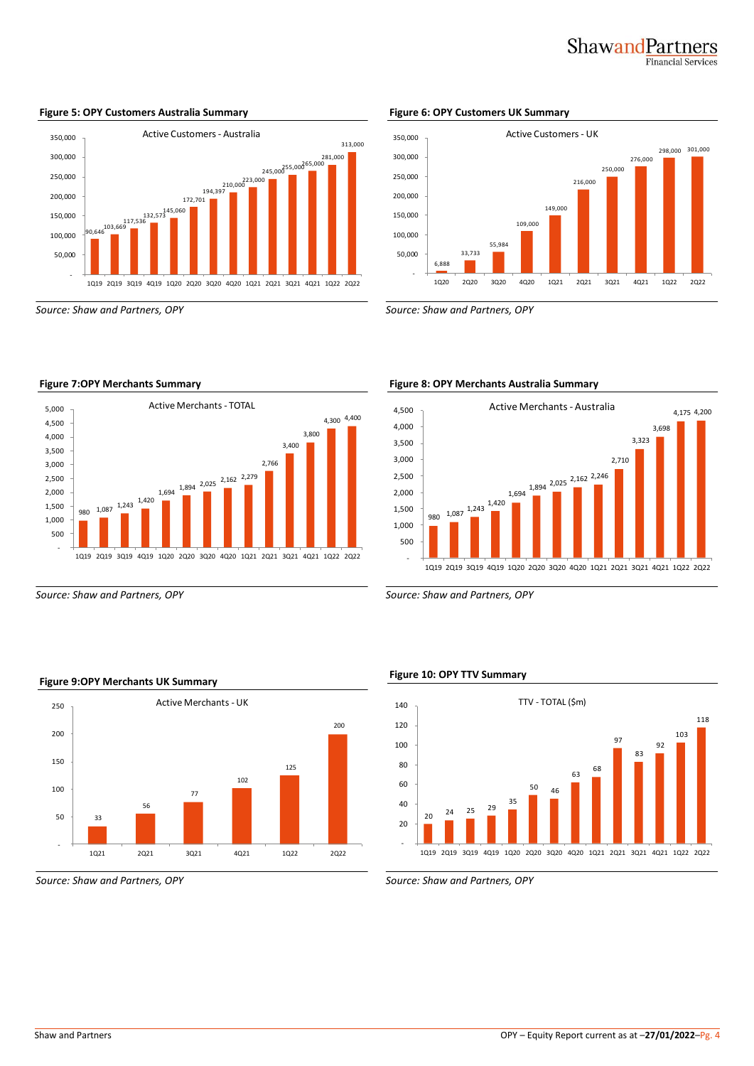# ShawandPartners **Financial Services**

![](_page_3_Figure_1.jpeg)

#### **Figure 5: OPY Customers Australia Summary Figure 6: OPY Customers UK Summary**

*Source: Shaw and Partners, OPY Source: Shaw and Partners, OPY*

![](_page_3_Figure_5.jpeg)

*Source: Shaw and Partners, OPY Source: Shaw and Partners, OPY*

![](_page_3_Figure_8.jpeg)

#### **Figure 7:OPY Merchants Summary Figure 8: OPY Merchants Australia Summary**

![](_page_3_Figure_11.jpeg)

# **Figure 9:OPY Merchants UK Summary Figure 10: OPY TTV Summary**

![](_page_3_Figure_14.jpeg)

*Source: Shaw and Partners, OPY Source: Shaw and Partners, OPY*

56

77

Active Merchants - UK

1Q21 2Q21 3Q21 4Q21 1Q22 2Q22

102

125

200

33

-

50

100

150

200

250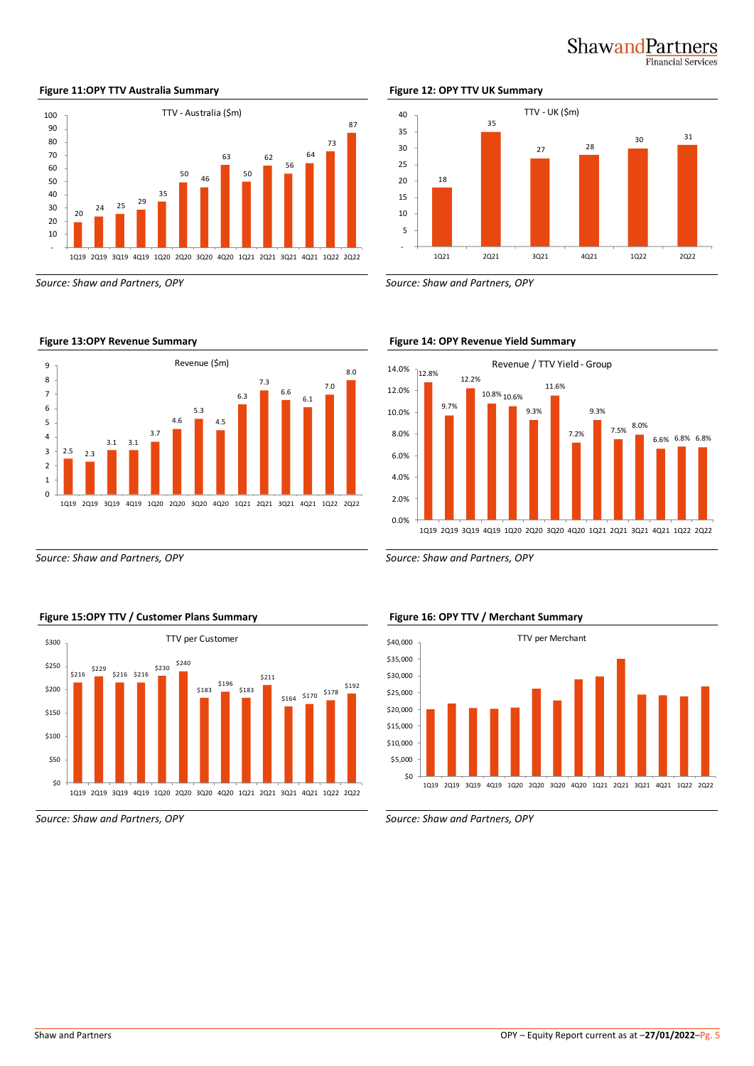![](_page_4_Picture_0.jpeg)

#### 20  $24 \t 25 \t 29$ 35  $\overline{16}$ 63 50 62 56 64 73 87 - 10 20 30 40 50 60 70 80 90 100 1Q19 2Q19 3Q19 4Q19 1Q20 2Q20 3Q20 4Q20 1Q21 2Q21 3Q21 4Q21 1Q22 2Q22 TTV - Australia (\$m)

*Source: Shaw and Partners, OPY Source: Shaw and Partners, OPY*

![](_page_4_Figure_4.jpeg)

*Source: Shaw and Partners, OPY Source: Shaw and Partners, OPY*

![](_page_4_Figure_6.jpeg)

![](_page_4_Figure_8.jpeg)

![](_page_4_Figure_9.jpeg)

![](_page_4_Figure_10.jpeg)

### **Figure 13:OPY Revenue Summary Figure 14: OPY Revenue Yield Summary**

![](_page_4_Figure_12.jpeg)

#### **Figure 15:OPY TTV / Customer Plans Summary Figure 16: OPY TTV / Merchant Summary**

![](_page_4_Figure_15.jpeg)

*Source: Shaw and Partners, OPY Source: Shaw and Partners, OPY*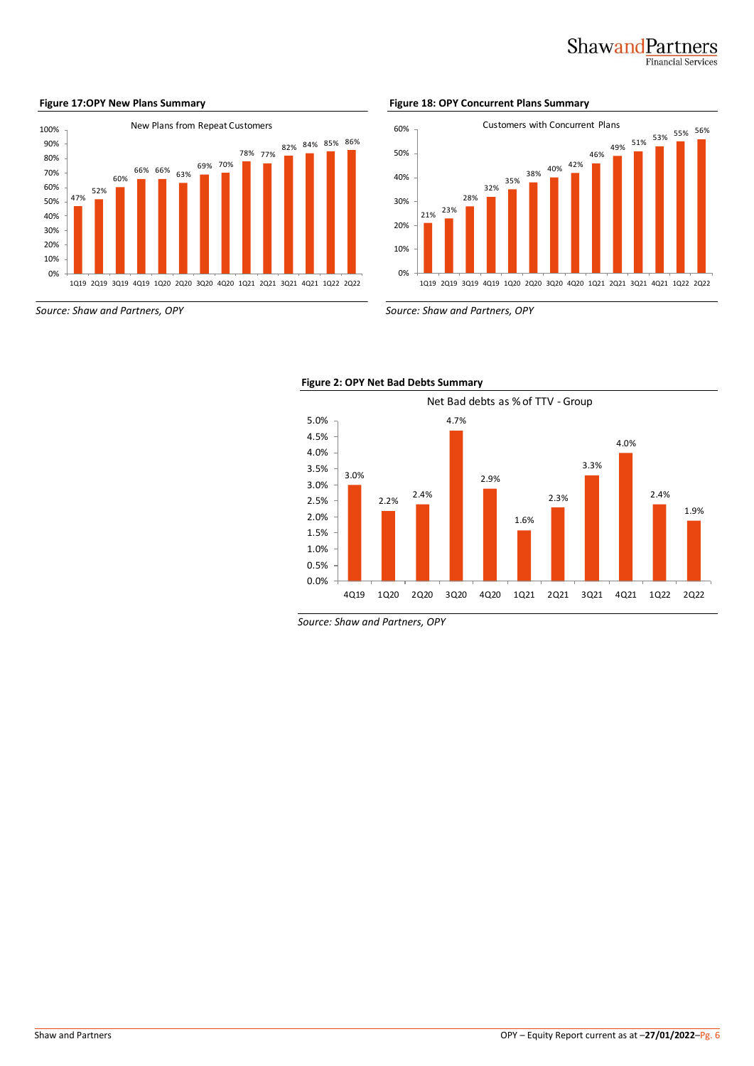## ShawandPartners **Financial Services**

#### 47% 52% 60% 66% 66% 63% 69% 70% 78% 77% 82% 84% 85% 86% 0% 10% 20% 30% 40% 50% 60% 70% 80% 90% 100% 1Q19 2Q19 3Q19 4Q19 1Q20 2Q20 3Q20 4Q20 1Q21 2Q21 3Q21 4Q21 1Q22 2Q22 New Plans from Repeat Customers

**Figure 17:OPY New Plans Summary Figure 18: OPY Concurrent Plans Summary**

![](_page_5_Figure_5.jpeg)

*Source: Shaw and Partners, OPY Source: Shaw and Partners, OPY*

![](_page_5_Figure_7.jpeg)

![](_page_5_Figure_8.jpeg)

*Source: Shaw and Partners, OPY*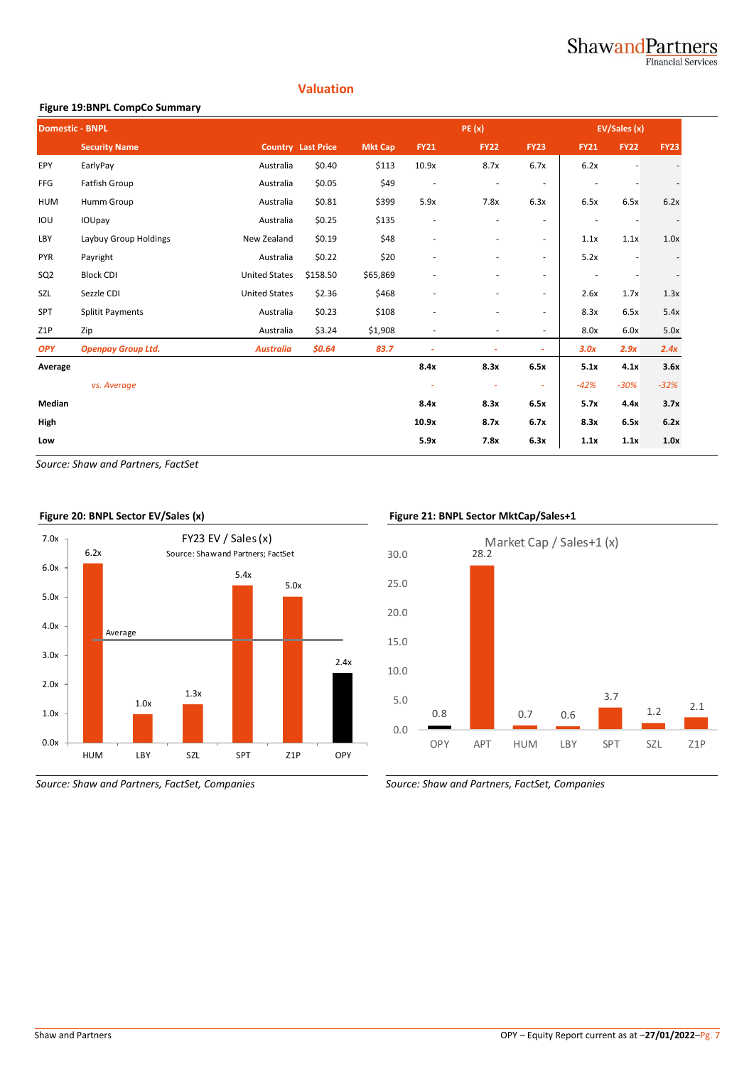### ShawandPartners **Financial Services**

### **Valuation**

### **Figure 19:BNPL CompCo Summary**

| <b>Domestic - BNPL</b> |                           |                      |                           | PE(x)          |                          |                          | <b>EV/Sales (x)</b>      |             |             |             |
|------------------------|---------------------------|----------------------|---------------------------|----------------|--------------------------|--------------------------|--------------------------|-------------|-------------|-------------|
|                        | <b>Security Name</b>      |                      | <b>Country Last Price</b> | <b>Mkt Cap</b> | <b>FY21</b>              | <b>FY22</b>              | <b>FY23</b>              | <b>FY21</b> | <b>FY22</b> | <b>FY23</b> |
| EPY                    | EarlyPay                  | Australia            | \$0.40                    | \$113          | 10.9x                    | 8.7x                     | 6.7x                     | 6.2x        |             |             |
| <b>FFG</b>             | Fatfish Group             | Australia            | \$0.05                    | \$49           | $\overline{\phantom{a}}$ | $\overline{a}$           | $\overline{\phantom{a}}$ |             |             |             |
| <b>HUM</b>             | Humm Group                | Australia            | \$0.81                    | \$399          | 5.9x                     | 7.8x                     | 6.3x                     | 6.5x        | 6.5x        | 6.2x        |
| IOU                    | IOUpay                    | Australia            | \$0.25                    | \$135          | $\overline{\phantom{a}}$ | ٠                        | $\sim$                   |             |             |             |
| LBY                    | Laybuy Group Holdings     | New Zealand          | \$0.19                    | \$48           | $\overline{\phantom{a}}$ | $\overline{\phantom{0}}$ | $\overline{\phantom{a}}$ | 1.1x        | 1.1x        | 1.0x        |
| <b>PYR</b>             | Payright                  | Australia            | \$0.22                    | \$20           | $\overline{\phantom{a}}$ | ٠                        | $\overline{\phantom{a}}$ | 5.2x        |             |             |
| SQ <sub>2</sub>        | <b>Block CDI</b>          | <b>United States</b> | \$158.50                  | \$65,869       |                          | $\overline{\phantom{0}}$ | $\overline{\phantom{a}}$ |             |             |             |
| SZL                    | Sezzle CDI                | <b>United States</b> | \$2.36                    | \$468          |                          | ٠                        | $\overline{\phantom{a}}$ | 2.6x        | 1.7x        | 1.3x        |
| <b>SPT</b>             | <b>Splitit Payments</b>   | Australia            | \$0.23                    | \$108          |                          | $\overline{\phantom{0}}$ | $\overline{\phantom{a}}$ | 8.3x        | 6.5x        | 5.4x        |
| Z <sub>1</sub> P       | Zip                       | Australia            | \$3.24                    | \$1,908        | $\sim$                   | ٠                        | $\sim$                   | 8.0x        | 6.0x        | 5.0x        |
| <b>OPY</b>             | <b>Openpay Group Ltd.</b> | <b>Australia</b>     | \$0.64\$                  | 83.7           |                          | ٠                        | ٠                        | 3.0x        | 2.9x        | 2.4x        |
| Average                |                           |                      |                           |                | 8.4x                     | 8.3x                     | 6.5x                     | 5.1x        | 4.1x        | 3.6x        |
|                        | vs. Average               |                      |                           |                | ÷                        | $\sim$                   | ×.                       | $-42%$      | $-30%$      | $-32%$      |
| Median                 |                           |                      |                           |                | 8.4x                     | 8.3x                     | 6.5x                     | 5.7x        | 4.4x        | 3.7x        |
| High                   |                           |                      |                           |                | 10.9x                    | 8.7x                     | 6.7x                     | 8.3x        | 6.5x        | 6.2x        |
| Low                    |                           |                      |                           |                | 5.9x                     | 7.8x                     | 6.3x                     | 1.1x        | 1.1x        | 1.0x        |

*Source: Shaw and Partners, FactSet*

![](_page_6_Figure_5.jpeg)

*Source: Shaw and Partners, FactSet, Companies Source: Shaw and Partners, FactSet, Companies*

![](_page_6_Figure_8.jpeg)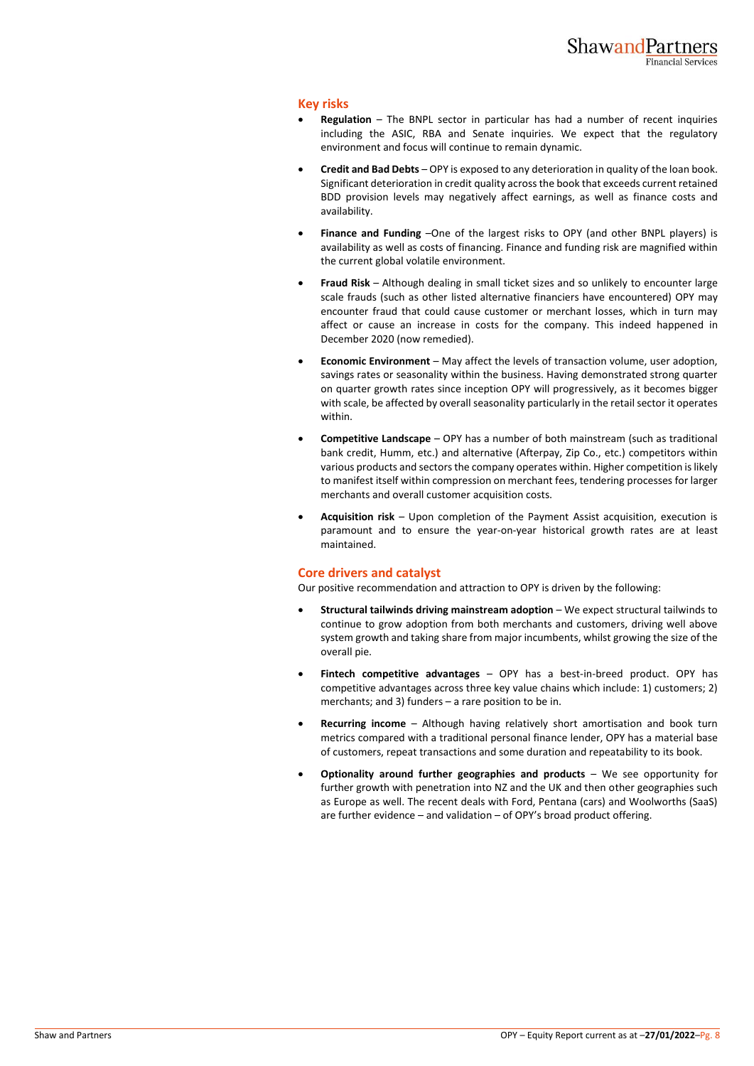#### **Key risks**

- **Regulation** The BNPL sector in particular has had a number of recent inquiries including the ASIC, RBA and Senate inquiries. We expect that the regulatory environment and focus will continue to remain dynamic.
- **Credit and Bad Debts** OPY is exposed to any deterioration in quality of the loan book. Significant deterioration in credit quality across the book that exceeds current retained BDD provision levels may negatively affect earnings, as well as finance costs and availability.
- **Finance and Funding** –One of the largest risks to OPY (and other BNPL players) is availability as well as costs of financing. Finance and funding risk are magnified within the current global volatile environment.
- **Fraud Risk** Although dealing in small ticket sizes and so unlikely to encounter large scale frauds (such as other listed alternative financiers have encountered) OPY may encounter fraud that could cause customer or merchant losses, which in turn may affect or cause an increase in costs for the company. This indeed happened in December 2020 (now remedied).
- **Economic Environment** May affect the levels of transaction volume, user adoption, savings rates or seasonality within the business. Having demonstrated strong quarter on quarter growth rates since inception OPY will progressively, as it becomes bigger with scale, be affected by overall seasonality particularly in the retail sector it operates within.
- **Competitive Landscape** OPY has a number of both mainstream (such as traditional bank credit, Humm, etc.) and alternative (Afterpay, Zip Co., etc.) competitors within various products and sectors the company operates within. Higher competition is likely to manifest itself within compression on merchant fees, tendering processes for larger merchants and overall customer acquisition costs.
- **Acquisition risk**  Upon completion of the Payment Assist acquisition, execution is paramount and to ensure the year-on-year historical growth rates are at least maintained.

### **Core drivers and catalyst**

Our positive recommendation and attraction to OPY is driven by the following:

- **Structural tailwinds driving mainstream adoption** We expect structural tailwinds to continue to grow adoption from both merchants and customers, driving well above system growth and taking share from major incumbents, whilst growing the size of the overall pie.
- **Fintech competitive advantages** OPY has a best-in-breed product. OPY has competitive advantages across three key value chains which include: 1) customers; 2) merchants; and 3) funders – a rare position to be in.
- **Recurring income** Although having relatively short amortisation and book turn metrics compared with a traditional personal finance lender, OPY has a material base of customers, repeat transactions and some duration and repeatability to its book.
- **Optionality around further geographies and products** We see opportunity for further growth with penetration into NZ and the UK and then other geographies such as Europe as well. The recent deals with Ford, Pentana (cars) and Woolworths (SaaS) are further evidence – and validation – of OPY's broad product offering.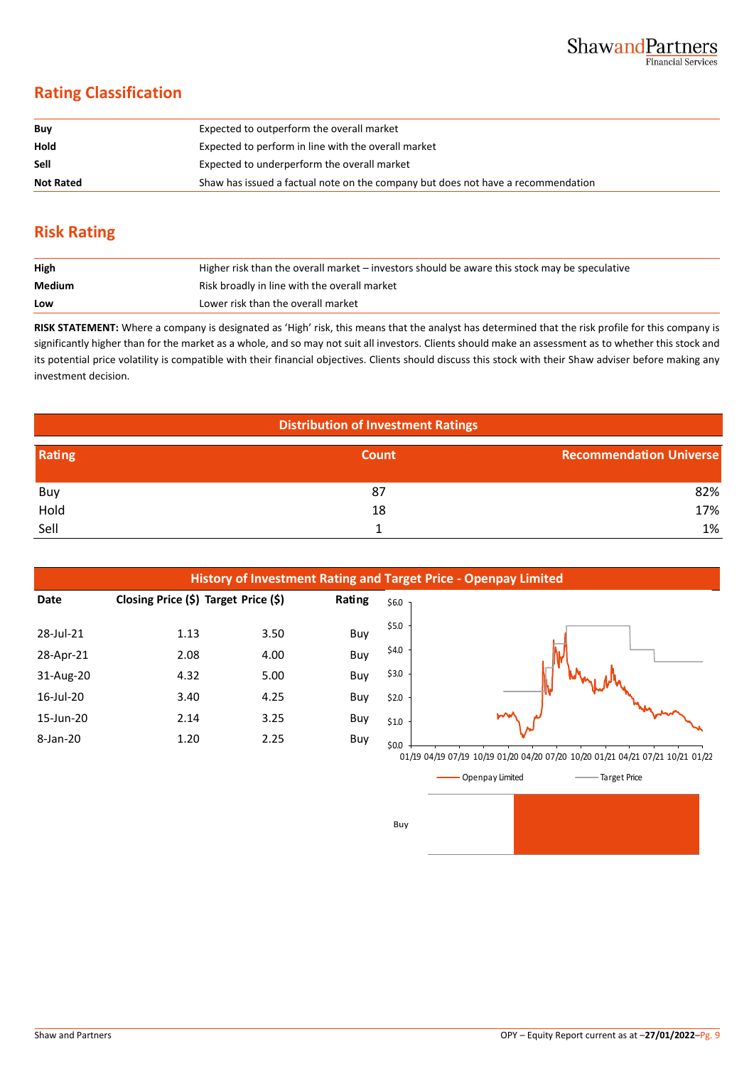# **Rating Classification**

| Buy              | Expected to outperform the overall market                                        |
|------------------|----------------------------------------------------------------------------------|
| Hold             | Expected to perform in line with the overall market                              |
| Sell             | Expected to underperform the overall market                                      |
| <b>Not Rated</b> | Shaw has issued a factual note on the company but does not have a recommendation |

# **Risk Rating**

| High   | Higher risk than the overall market – investors should be aware this stock may be speculative |
|--------|-----------------------------------------------------------------------------------------------|
| Medium | Risk broadly in line with the overall market                                                  |
| Low    | Lower risk than the overall market                                                            |

**RISK STATEMENT:** Where a company is designated as 'High' risk, this means that the analyst has determined that the risk profile for this company is significantly higher than for the market as a whole, and so may not suit all investors. Clients should make an assessment as to whether this stock and its potential price volatility is compatible with their financial objectives. Clients should discuss this stock with their Shaw adviser before making any investment decision.

| <b>Distribution of Investment Ratings</b> |              |                                |  |  |
|-------------------------------------------|--------------|--------------------------------|--|--|
| Rating                                    | <b>Count</b> | <b>Recommendation Universe</b> |  |  |
| Buy                                       | 87           | 82%                            |  |  |
| Hold                                      | 18           | 17%                            |  |  |
| Sell                                      |              | 1%                             |  |  |

Buy

![](_page_8_Figure_7.jpeg)

![](_page_8_Figure_8.jpeg)